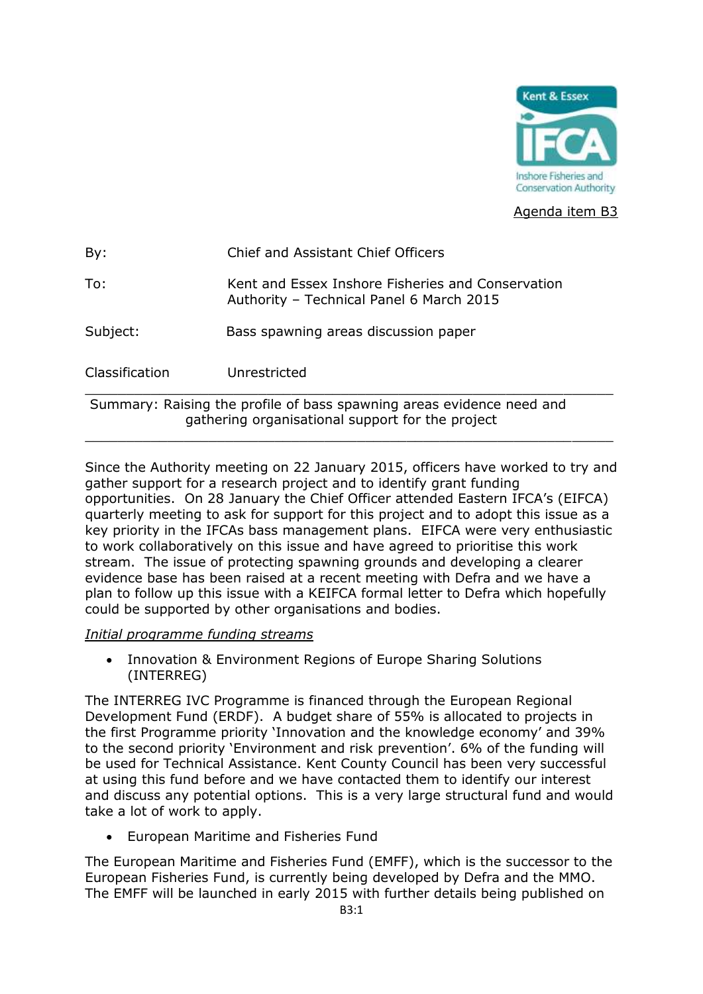

Agenda item B3

| Classification | Unrestricted                                                                                  |
|----------------|-----------------------------------------------------------------------------------------------|
| Subject:       | Bass spawning areas discussion paper                                                          |
| To:            | Kent and Essex Inshore Fisheries and Conservation<br>Authority - Technical Panel 6 March 2015 |
| By:            | Chief and Assistant Chief Officers                                                            |

Summary: Raising the profile of bass spawning areas evidence need and gathering organisational support for the project

Since the Authority meeting on 22 January 2015, officers have worked to try and gather support for a research project and to identify grant funding opportunities. On 28 January the Chief Officer attended Eastern IFCA's (EIFCA) quarterly meeting to ask for support for this project and to adopt this issue as a key priority in the IFCAs bass management plans. EIFCA were very enthusiastic to work collaboratively on this issue and have agreed to prioritise this work stream. The issue of protecting spawning grounds and developing a clearer evidence base has been raised at a recent meeting with Defra and we have a plan to follow up this issue with a KEIFCA formal letter to Defra which hopefully could be supported by other organisations and bodies.

\_\_\_\_\_\_\_\_\_\_\_\_\_\_\_\_\_\_\_\_\_\_\_\_\_\_\_\_\_\_\_\_\_\_\_\_\_\_\_\_\_\_\_\_\_\_\_\_\_\_\_\_\_\_\_\_\_\_\_\_\_\_\_\_

## *Initial programme funding streams*

 Innovation & Environment Regions of Europe Sharing Solutions (INTERREG)

The INTERREG IVC Programme is financed through the European Regional Development Fund (ERDF). A budget share of 55% is allocated to projects in the first Programme priority 'Innovation and the knowledge economy' and 39% to the second priority 'Environment and risk prevention'. 6% of the funding will be used for Technical Assistance. Kent County Council has been very successful at using this fund before and we have contacted them to identify our interest and discuss any potential options. This is a very large structural fund and would take a lot of work to apply.

European Maritime and Fisheries Fund

The European Maritime and Fisheries Fund (EMFF), which is the successor to the European Fisheries Fund, is currently being developed by Defra and the MMO. The EMFF will be launched in early 2015 with further details being published on